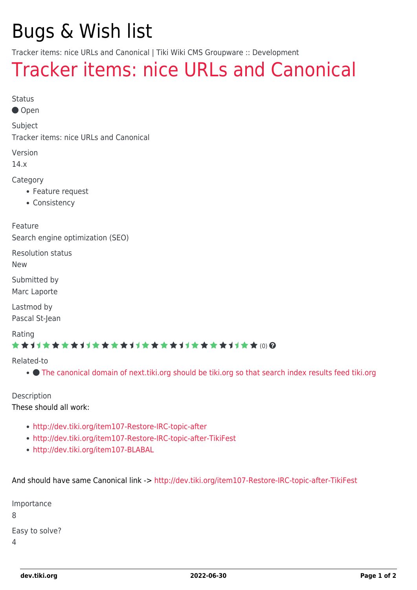## Bugs & Wish list

Tracker items: nice URLs and Canonical | Tiki Wiki CMS Groupware :: Development

## [Tracker items: nice URLs and Canonical](https://dev.tiki.org/item4862-Tracker-items-nice-URLs-and-Canonical)

Status

● Open

Subject

Tracker items: nice URLs and Canonical

Version

14.x

Category

- Feature request
- Consistency

Feature Search engine optimization (SEO)

Resolution status

New

Submitted by

Marc Laporte

Lastmod by Pascal St-Jean

Rating

\*\*\*\*\*\*\*\*\*\*\*\*\*\*\*\*\*\*\*\*\*\*\*\*\*\*\*\*\*\*

Related-to

[The canonical domain of next.tiki.org should be tiki.org so that search index results feed tiki.org](https://dev.tiki.org/item7947-The-canonical-domain-of-next-tiki-org-should-be-tiki-org-so-that-search-index-results-feed-tiki-org)

Description

These should all work:

- <http://dev.tiki.org/item107-Restore-IRC-topic-after>
- <http://dev.tiki.org/item107-Restore-IRC-topic-after-TikiFest>
- <http://dev.tiki.org/item107-BLABAL>

And should have same Canonical link -><http://dev.tiki.org/item107-Restore-IRC-topic-after-TikiFest>

| Importance     |
|----------------|
| 8              |
| Easy to solve? |
| 4              |